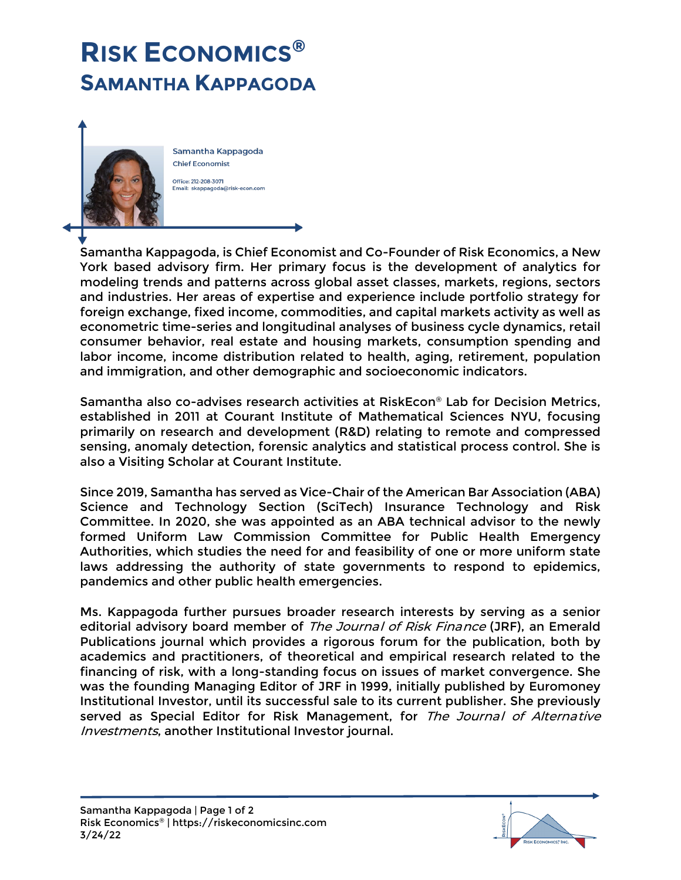## **RISK ECONOMICS® SAMANTHA KAPPAGODA**



Samantha Kappagoda, is Chief Economist and Co-Founder of Risk Economics, a New York based advisory firm. Her primary focus is the development of analytics for modeling trends and patterns across global asset classes, markets, regions, sectors and industries. Her areas of expertise and experience include portfolio strategy for foreign exchange, fixed income, commodities, and capital markets activity as well as econometric time-series and longitudinal analyses of business cycle dynamics, retail consumer behavior, real estate and housing markets, consumption spending and labor income, income distribution related to health, aging, retirement, population and immigration, and other demographic and socioeconomic indicators.

Samantha also co-advises research activities at RiskEcon® Lab for Decision Metrics, established in 2011 at Courant Institute of Mathematical Sciences NYU, focusing primarily on research and development (R&D) relating to remote and compressed sensing, anomaly detection, forensic analytics and statistical process control. She is also a Visiting Scholar at Courant Institute.

Since 2019, Samantha has served as Vice-Chair of the American Bar Association (ABA) Science and Technology Section (SciTech) Insurance Technology and Risk Committee. In 2020, she was appointed as an ABA technical advisor to the newly formed Uniform Law Commission Committee for Public Health Emergency Authorities, which studies the need for and feasibility of one or more uniform state laws addressing the authority of state governments to respond to epidemics, pandemics and other public health emergencies.

Ms. Kappagoda further pursues broader research interests by serving as a senior editorial advisory board member of The Journal of Risk Finance (JRF), an Emerald Publications journal which provides a rigorous forum for the publication, both by academics and practitioners, of theoretical and empirical research related to the financing of risk, with a long-standing focus on issues of market convergence. She was the founding Managing Editor of JRF in 1999, initially published by Euromoney Institutional Investor, until its successful sale to its current publisher. She previously served as Special Editor for Risk Management, for The Journal of Alternative Investments, another Institutional Investor journal.